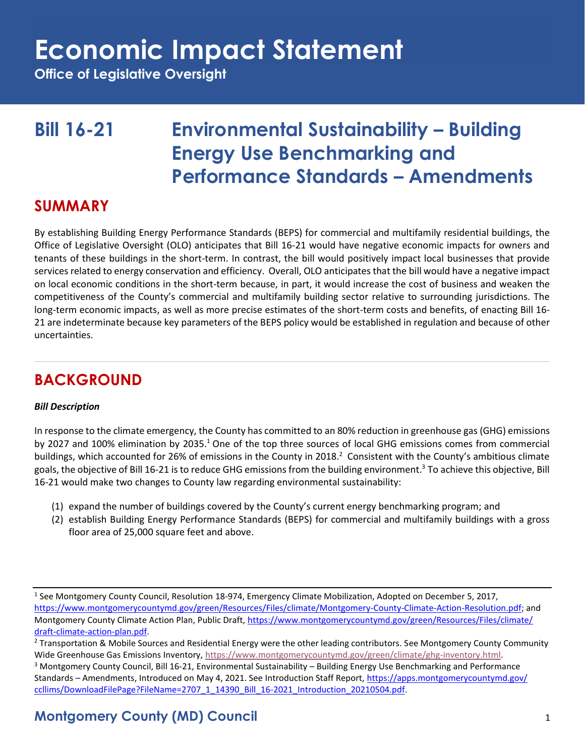**Office of Legislative Oversight**

## **Bill 16-21 Environmental Sustainability – Building Energy Use Benchmarking and Performance Standards – Amendments**

### **SUMMARY**

By establishing Building Energy Performance Standards (BEPS) for commercial and multifamily residential buildings, the Office of Legislative Oversight (OLO) anticipates that Bill 16-21 would have negative economic impacts for owners and tenants of these buildings in the short-term. In contrast, the bill would positively impact local businesses that provide services related to energy conservation and efficiency. Overall, OLO anticipates that the bill would have a negative impact on local economic conditions in the short-term because, in part, it would increase the cost of business and weaken the competitiveness of the County's commercial and multifamily building sector relative to surrounding jurisdictions. The long-term economic impacts, as well as more precise estimates of the short-term costs and benefits, of enacting Bill 16- 21 are indeterminate because key parameters of the BEPS policy would be established in regulation and because of other uncertainties.

## **BACKGROUND**

#### *Bill Description*

In response to the climate emergency, the County has committed to an 80% reduction in greenhouse gas (GHG) emissions by 2027 and 100% elimination by 2035.<sup>1</sup> One of the top three sources of local GHG emissions comes from commercial buildings, which accounted for 26% of emissions in the County in 2018.<sup>2</sup> Consistent with the County's ambitious climate goals, the objective of Bill 16-21 is to reduce GHG emissions from the building environment.<sup>3</sup> To achieve this objective, Bill 16-21 would make two changes to County law regarding environmental sustainability:

- (1) expand the number of buildings covered by the County's current energy benchmarking program; and
- (2) establish Building Energy Performance Standards (BEPS) for commercial and multifamily buildings with a gross floor area of 25,000 square feet and above.

<sup>&</sup>lt;sup>1</sup> See Montgomery County Council, Resolution 18-974, Emergency Climate Mobilization, Adopted on December 5, 2017, [https://www.montgomerycountymd.gov/green/Resources/Files/climate/Montgomery-County-Climate-Action-Resolution.pdf;](https://www.montgomerycountymd.gov/green/Resources/Files/climate/Montgomery-County-Climate-Action-Resolution.pdf) and Montgomery County Climate Action Plan, Public Draft, [https://www.montgomerycountymd.gov/green/Resources/Files/climate/](https://www.montgomerycountymd.gov/green/Resources/Files/climate/draft-climate-action-plan.pdf) [draft-climate-action-plan.pdf.](https://www.montgomerycountymd.gov/green/Resources/Files/climate/draft-climate-action-plan.pdf)

<sup>&</sup>lt;sup>2</sup> Transportation & Mobile Sources and Residential Energy were the other leading contributors. See Montgomery County Community Wide Greenhouse Gas Emissions Inventory, [https://www.montgomerycountymd.gov/green/climate/ghg-inventory.html.](https://www.montgomerycountymd.gov/green/climate/ghg-inventory.html) <sup>3</sup> Montgomery County Council, Bill 16-21, Environmental Sustainability – Building Energy Use Benchmarking and Performance Standards – Amendments, Introduced on May 4, 2021. See Introduction Staff Report, [https://apps.montgomerycountymd.gov/](https://apps.montgomerycountymd.gov/ccllims/DownloadFilePage?FileName=2707_1_14390_Bill_16-2021_Introduction_20210504.pdf)

[ccllims/DownloadFilePage?FileName=2707\\_1\\_14390\\_Bill\\_16-2021\\_Introduction\\_20210504.pdf.](https://apps.montgomerycountymd.gov/ccllims/DownloadFilePage?FileName=2707_1_14390_Bill_16-2021_Introduction_20210504.pdf)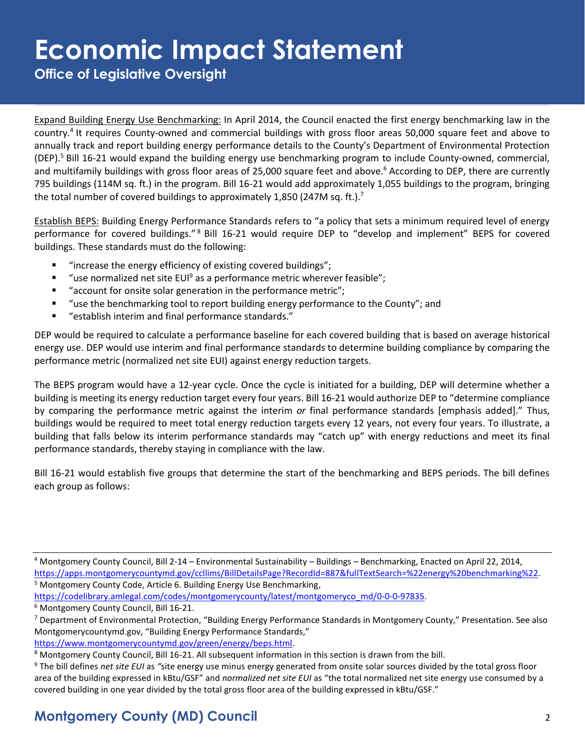**Office of Legislative Oversight**

Expand Building Energy Use Benchmarking: In April 2014, the Council enacted the first energy benchmarking law in the country.<sup>4</sup> It requires County-owned and commercial buildings with gross floor areas 50,000 square feet and above to annually track and report building energy performance details to the County's Department of Environmental Protection (DEP).<sup>5</sup> Bill 16-21 would expand the building energy use benchmarking program to include County-owned, commercial, and multifamily buildings with gross floor areas of 25,000 square feet and above.<sup>6</sup> According to DEP, there are currently 795 buildings (114M sq. ft.) in the program. Bill 16-21 would add approximately 1,055 buildings to the program, bringing the total number of covered buildings to approximately 1,850 (247M sq. ft.).<sup>7</sup>

Establish BEPS: Building Energy Performance Standards refers to "a policy that sets a minimum required level of energy performance for covered buildings." <sup>8</sup> Bill 16-21 would require DEP to "develop and implement" BEPS for covered buildings. These standards must do the following:

- "increase the energy efficiency of existing covered buildings";
- "use normalized net site EUI<sup>9</sup> as a performance metric wherever feasible";
- "account for onsite solar generation in the performance metric";
- "use the benchmarking tool to report building energy performance to the County"; and
- "establish interim and final performance standards."

DEP would be required to calculate a performance baseline for each covered building that is based on average historical energy use. DEP would use interim and final performance standards to determine building compliance by comparing the performance metric (normalized net site EUI) against energy reduction targets.

The BEPS program would have a 12-year cycle. Once the cycle is initiated for a building, DEP will determine whether a building is meeting its energy reduction target every four years. Bill 16-21 would authorize DEP to "determine compliance by comparing the performance metric against the interim *or* final performance standards [emphasis added]." Thus, buildings would be required to meet total energy reduction targets every 12 years, not every four years. To illustrate, a building that falls below its interim performance standards may "catch up" with energy reductions and meet its final performance standards, thereby staying in compliance with the law.

Bill 16-21 would establish five groups that determine the start of the benchmarking and BEPS periods. The bill defines each group as follows:

<sup>4</sup> Montgomery County Council, Bill 2-14 – Environmental Sustainability – Buildings – Benchmarking, Enacted on April 22, 2014, [https://apps.montgomerycountymd.gov/ccllims/BillDetailsPage?RecordId=887&fullTextSearch=%22energy%20benchmarking%22.](https://apps.montgomerycountymd.gov/ccllims/BillDetailsPage?RecordId=887&fullTextSearch=%22energy%20benchmarking%22) <sup>5</sup> Montgomery County Code, Article 6. Building Energy Use Benchmarking,

[https://codelibrary.amlegal.com/codes/montgomerycounty/latest/montgomeryco\\_md/0-0-0-97835.](https://codelibrary.amlegal.com/codes/montgomerycounty/latest/montgomeryco_md/0-0-0-97835) 

<sup>6</sup> Montgomery County Council, Bill 16-21.

<sup>&</sup>lt;sup>7</sup> Department of Environmental Protection, "Building Energy Performance Standards in Montgomery County," Presentation. See also Montgomerycountymd.gov, "Building Energy Performance Standards,"

[https://www.montgomerycountymd.gov/green/energy/beps.html.](https://www.montgomerycountymd.gov/green/energy/beps.html)

<sup>8</sup> Montgomery County Council, Bill 16-21. All subsequent information in this section is drawn from the bill.

<sup>9</sup> The bill defines *net site EUI* as *"*site energy use minus energy generated from onsite solar sources divided by the total gross floor area of the building expressed in kBtu/GSF" and *normalized net site EUI* as "the total normalized net site energy use consumed by a covered building in one year divided by the total gross floor area of the building expressed in kBtu/GSF."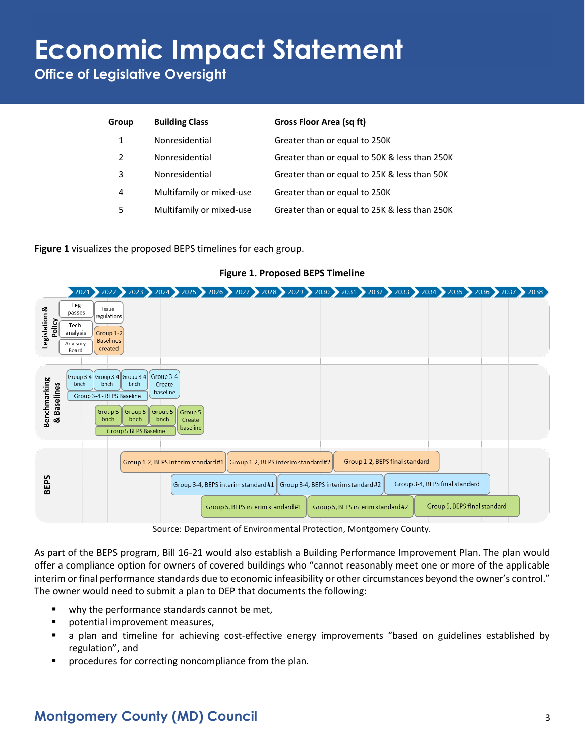**Office of Legislative Oversight**

| Group         | <b>Building Class</b>    | Gross Floor Area (sq ft)                      |
|---------------|--------------------------|-----------------------------------------------|
| 1             | Nonresidential           | Greater than or equal to 250K                 |
| $\mathcal{L}$ | Nonresidential           | Greater than or equal to 50K & less than 250K |
| 3             | Nonresidential           | Greater than or equal to 25K & less than 50K  |
| 4             | Multifamily or mixed-use | Greater than or equal to 250K                 |
| 5             | Multifamily or mixed-use | Greater than or equal to 25K & less than 250K |

**Figure 1** visualizes the proposed BEPS timelines for each group.



#### **Figure 1. Proposed BEPS Timeline**

Source: Department of Environmental Protection, Montgomery County.

As part of the BEPS program, Bill 16-21 would also establish a Building Performance Improvement Plan. The plan would offer a compliance option for owners of covered buildings who "cannot reasonably meet one or more of the applicable interim or final performance standards due to economic infeasibility or other circumstances beyond the owner's control." The owner would need to submit a plan to DEP that documents the following:

- why the performance standards cannot be met,
- potential improvement measures,
- a plan and timeline for achieving cost-effective energy improvements "based on guidelines established by regulation", and
- procedures for correcting noncompliance from the plan.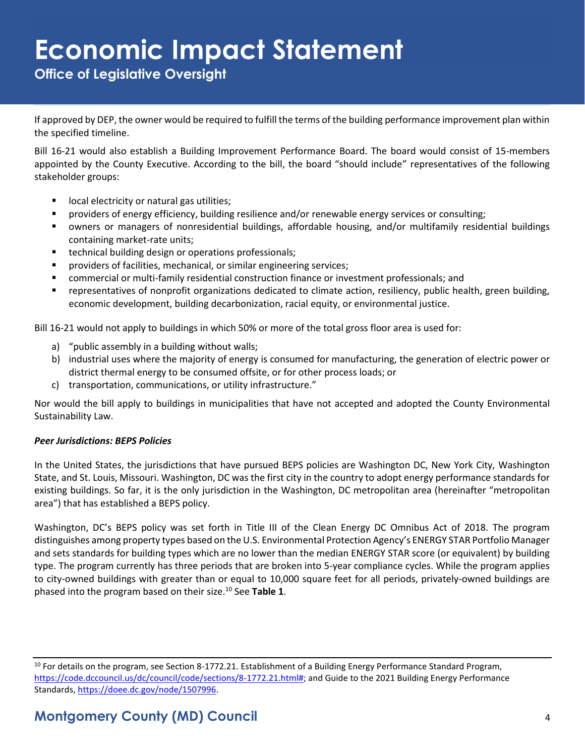**Office of Legislative Oversight**

If approved by DEP, the owner would be required to fulfill the terms of the building performance improvement plan within the specified timeline.

Bill 16-21 would also establish a Building Improvement Performance Board. The board would consist of 15-members appointed by the County Executive. According to the bill, the board "should include" representatives of the following stakeholder groups:

- local electricity or natural gas utilities;
- providers of energy efficiency, building resilience and/or renewable energy services or consulting;
- owners or managers of nonresidential buildings, affordable housing, and/or multifamily residential buildings containing market-rate units;
- technical building design or operations professionals;
- providers of facilities, mechanical, or similar engineering services;
- commercial or multi-family residential construction finance or investment professionals; and
- representatives of nonprofit organizations dedicated to climate action, resiliency, public health, green building, economic development, building decarbonization, racial equity, or environmental justice.

Bill 16-21 would not apply to buildings in which 50% or more of the total gross floor area is used for:

- a) "public assembly in a building without walls;
- b) industrial uses where the majority of energy is consumed for manufacturing, the generation of electric power or district thermal energy to be consumed offsite, or for other process loads; or
- c) transportation, communications, or utility infrastructure."

Nor would the bill apply to buildings in municipalities that have not accepted and adopted the County Environmental Sustainability Law.

#### *Peer Jurisdictions: BEPS Policies*

In the United States, the jurisdictions that have pursued BEPS policies are Washington DC, New York City, Washington State, and St. Louis, Missouri. Washington, DC was the first city in the country to adopt energy performance standards for existing buildings. So far, it is the only jurisdiction in the Washington, DC metropolitan area (hereinafter "metropolitan area") that has established a BEPS policy.

Washington, DC's BEPS policy was set forth in Title III of the Clean Energy DC Omnibus Act of 2018. The program distinguishes among property types based on the U.S. Environmental Protection Agency's ENERGY STAR Portfolio Manager and sets standards for building types which are no lower than the median ENERGY STAR score (or equivalent) by building type. The program currently has three periods that are broken into 5-year compliance cycles. While the program applies to city-owned buildings with greater than or equal to 10,000 square feet for all periods, privately-owned buildings are phased into the program based on their size.<sup>10</sup> See **Table 1**.

 $10$  For details on the program, see Section 8-1772.21. Establishment of a Building Energy Performance Standard Program, [https://code.dccouncil.us/dc/council/code/sections/8-1772.21.html#;](https://code.dccouncil.us/dc/council/code/sections/8-1772.21.html) and Guide to the 2021 Building Energy Performance Standards[, https://doee.dc.gov/node/1507996.](https://doee.dc.gov/node/1507996)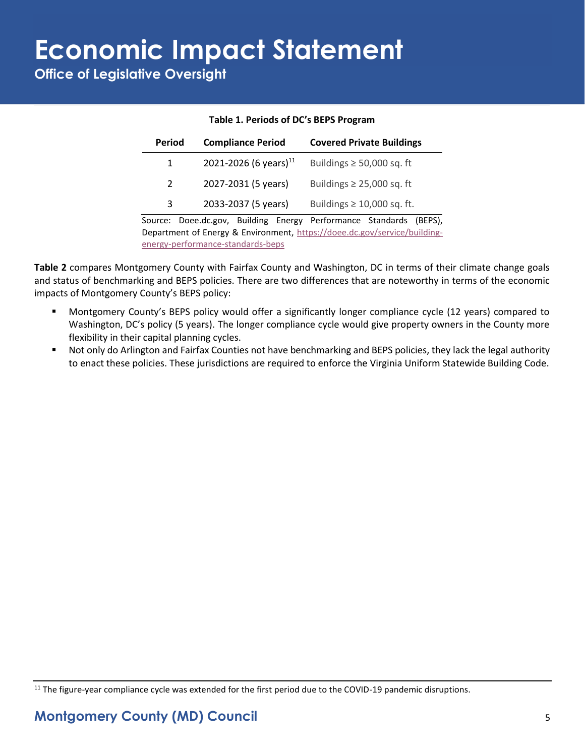**Office of Legislative Oversight**

| Period  |  | <b>Compliance Period</b>          | <b>Covered Private Buildings</b>                                                                                                         |        |
|---------|--|-----------------------------------|------------------------------------------------------------------------------------------------------------------------------------------|--------|
| 1       |  | 2021-2026 (6 years) <sup>11</sup> | Buildings $\geq$ 50,000 sq. ft                                                                                                           |        |
| 2       |  | 2027-2031 (5 years)               | Buildings $\geq$ 25,000 sq. ft                                                                                                           |        |
| 3       |  | 2033-2037 (5 years)               | Buildings $\geq 10,000$ sq. ft.                                                                                                          |        |
| Source: |  |                                   | Doee.dc.gov, Building Energy Performance Standards<br><b>Denartment of Energy &amp; Environment</b> https://doee.dr.gov/service/huilding | (BEPS) |

#### **Table 1. Periods of DC's BEPS Program**

Source: Doee.dc.gov, Building Energy Performance Standards (BEPS), Department of Energy & Environment, [https://doee.dc.gov/service/building](https://doee.dc.gov/service/building-energy-performance-standards-beps)[energy-performance-standards-beps](https://doee.dc.gov/service/building-energy-performance-standards-beps)

**Table 2** compares Montgomery County with Fairfax County and Washington, DC in terms of their climate change goals and status of benchmarking and BEPS policies. There are two differences that are noteworthy in terms of the economic impacts of Montgomery County's BEPS policy:

- Montgomery County's BEPS policy would offer a significantly longer compliance cycle (12 years) compared to Washington, DC's policy (5 years). The longer compliance cycle would give property owners in the County more flexibility in their capital planning cycles.
- Not only do Arlington and Fairfax Counties not have benchmarking and BEPS policies, they lack the legal authority to enact these policies. These jurisdictions are required to enforce the Virginia Uniform Statewide Building Code.

 $11$  The figure-year compliance cycle was extended for the first period due to the COVID-19 pandemic disruptions.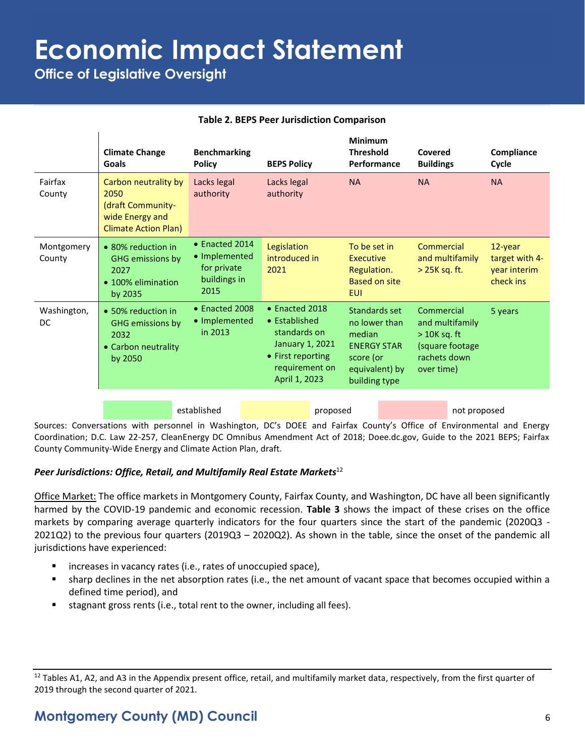**Office of Legislative Oversight**

 $\mathbf{I}$ 

#### **Table 2. BEPS Peer Jurisdiction Comparison**

|                      | <b>Climate Change</b><br>Goals                                                                      | <b>Benchmarking</b><br><b>Policy</b>                                   | <b>BEPS Policy</b>                                                                                                                 | <b>Minimum</b><br><b>Threshold</b><br>Performance                                                              | Covered<br><b>Buildings</b>                                                                      | Compliance<br>Cycle                                    |
|----------------------|-----------------------------------------------------------------------------------------------------|------------------------------------------------------------------------|------------------------------------------------------------------------------------------------------------------------------------|----------------------------------------------------------------------------------------------------------------|--------------------------------------------------------------------------------------------------|--------------------------------------------------------|
| Fairfax<br>County    | Carbon neutrality by<br>2050<br>(draft Community-<br>wide Energy and<br><b>Climate Action Plan)</b> | Lacks legal<br>authority                                               | Lacks legal<br>authority                                                                                                           | <b>NA</b>                                                                                                      | <b>NA</b>                                                                                        | <b>NA</b>                                              |
| Montgomery<br>County | • 80% reduction in<br><b>GHG emissions by</b><br>2027<br>• 100% elimination<br>by 2035              | • Enacted 2014<br>• Implemented<br>for private<br>buildings in<br>2015 | Legislation<br>introduced in<br>2021                                                                                               | To be set in<br><b>Executive</b><br>Regulation.<br><b>Based on site</b><br><b>EUI</b>                          | Commercial<br>and multifamily<br>$>$ 25K sq. ft.                                                 | 12-year<br>target with 4-<br>year interim<br>check ins |
| Washington,<br>DC    | • 50% reduction in<br>GHG emissions by<br>2032<br>• Carbon neutrality<br>by 2050                    | • Enacted 2008<br>• Implemented<br>in 2013                             | $\bullet$ Enacted 2018<br>• Established<br>standards on<br>January 1, 2021<br>• First reporting<br>requirement on<br>April 1, 2023 | Standards set<br>no lower than<br>median<br><b>ENERGY STAR</b><br>score (or<br>equivalent) by<br>building type | Commercial<br>and multifamily<br>$>$ 10K sq. ft<br>(square footage<br>rachets down<br>over time) | 5 years                                                |
|                      |                                                                                                     | established                                                            | proposed                                                                                                                           |                                                                                                                | not proposed                                                                                     |                                                        |
|                      |                                                                                                     |                                                                        |                                                                                                                                    |                                                                                                                |                                                                                                  |                                                        |

Sources: Conversations with personnel in Washington, DC's DOEE and Fairfax County's Office of Environmental and Energy Coordination; D.C. Law 22-257, CleanEnergy DC Omnibus Amendment Act of 2018; Doee.dc.gov, Guide to the 2021 BEPS; Fairfax County Community-Wide Energy and Climate Action Plan, draft.

#### *Peer Jurisdictions: Office, Retail, and Multifamily Real Estate Markets*<sup>12</sup>

Office Market: The office markets in Montgomery County, Fairfax County, and Washington, DC have all been significantly harmed by the COVID-19 pandemic and economic recession. **Table 3** shows the impact of these crises on the office markets by comparing average quarterly indicators for the four quarters since the start of the pandemic (2020Q3 - 2021Q2) to the previous four quarters (2019Q3 – 2020Q2). As shown in the table, since the onset of the pandemic all jurisdictions have experienced:

- increases in vacancy rates (i.e., rates of unoccupied space),
- sharp declines in the net absorption rates (i.e., the net amount of vacant space that becomes occupied within a defined time period), and
- stagnant gross rents (i.e., total rent to the owner, including all fees).

 $12$  Tables A1, A2, and A3 in the Appendix present office, retail, and multifamily market data, respectively, from the first quarter of 2019 through the second quarter of 2021.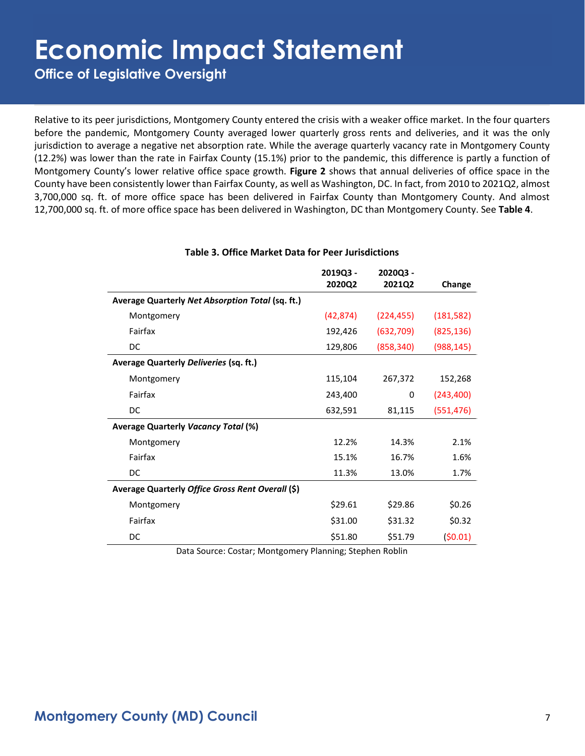**Office of Legislative Oversight**

Relative to its peer jurisdictions, Montgomery County entered the crisis with a weaker office market. In the four quarters before the pandemic, Montgomery County averaged lower quarterly gross rents and deliveries, and it was the only jurisdiction to average a negative net absorption rate. While the average quarterly vacancy rate in Montgomery County (12.2%) was lower than the rate in Fairfax County (15.1%) prior to the pandemic, this difference is partly a function of Montgomery County's lower relative office space growth. **Figure 2** shows that annual deliveries of office space in the County have been consistently lower than Fairfax County, as well as Washington, DC. In fact, from 2010 to 2021Q2, almost 3,700,000 sq. ft. of more office space has been delivered in Fairfax County than Montgomery County. And almost 12,700,000 sq. ft. of more office space has been delivered in Washington, DC than Montgomery County. See **Table 4**.

|                                                  | 2019Q3 -  | 2020Q3 -   |            |
|--------------------------------------------------|-----------|------------|------------|
|                                                  | 2020Q2    | 2021Q2     | Change     |
| Average Quarterly Net Absorption Total (sq. ft.) |           |            |            |
| Montgomery                                       | (42, 874) | (224, 455) | (181, 582) |
| Fairfax                                          | 192,426   | (632,709)  | (825, 136) |
| DC                                               | 129,806   | (858, 340) | (988, 145) |
| Average Quarterly Deliveries (sq. ft.)           |           |            |            |
| Montgomery                                       | 115,104   | 267,372    | 152,268    |
| Fairfax                                          | 243,400   | 0          | (243, 400) |
| DC                                               | 632,591   | 81,115     | (551,476)  |
| <b>Average Quarterly Vacancy Total (%)</b>       |           |            |            |
| Montgomery                                       | 12.2%     | 14.3%      | 2.1%       |
| Fairfax                                          | 15.1%     | 16.7%      | 1.6%       |
| DC                                               | 11.3%     | 13.0%      | 1.7%       |
| Average Quarterly Office Gross Rent Overall (\$) |           |            |            |
| Montgomery                                       | \$29.61   | \$29.86    | \$0.26     |
| Fairfax                                          | \$31.00   | \$31.32    | \$0.32     |
| DC                                               | \$51.80   | \$51.79    | (50.01)    |

#### **Table 3. Office Market Data for Peer Jurisdictions**

Data Source: Costar; Montgomery Planning; Stephen Roblin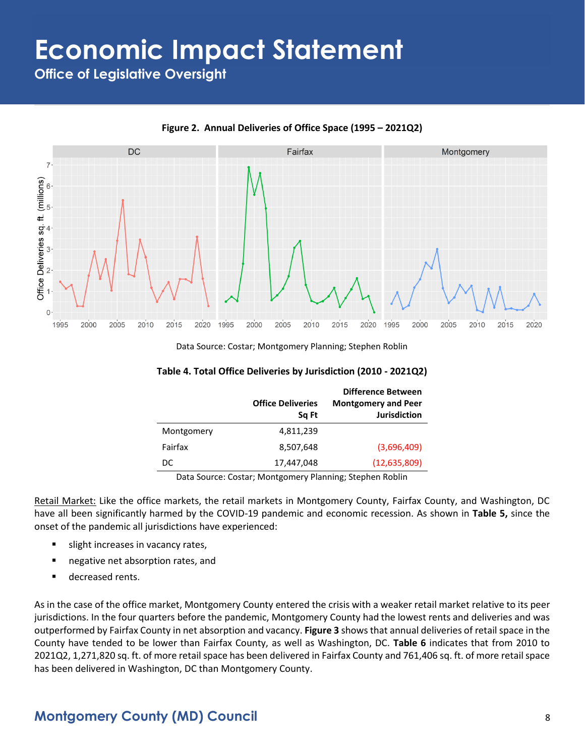**Office of Legislative Oversight**



**Figure 2. Annual Deliveries of Office Space (1995 – 2021Q2)**

Data Source: Costar; Montgomery Planning; Stephen Roblin

| Table 4. Total Office Deliveries by Jurisdiction (2010 - 2021Q2) |  |
|------------------------------------------------------------------|--|
|------------------------------------------------------------------|--|

|            | <b>Office Deliveries</b><br>Sa Ft | <b>Difference Between</b><br><b>Montgomery and Peer</b><br><b>Jurisdiction</b> |
|------------|-----------------------------------|--------------------------------------------------------------------------------|
| Montgomery | 4,811,239                         |                                                                                |
| Fairfax    | 8,507,648                         | (3,696,409)                                                                    |
| DC         | 17,447,048                        | (12, 635, 809)                                                                 |

Data Source: Costar; Montgomery Planning; Stephen Roblin

Retail Market: Like the office markets, the retail markets in Montgomery County, Fairfax County, and Washington, DC have all been significantly harmed by the COVID-19 pandemic and economic recession. As shown in **Table 5,** since the onset of the pandemic all jurisdictions have experienced:

- slight increases in vacancy rates,
- negative net absorption rates, and
- decreased rents.

As in the case of the office market, Montgomery County entered the crisis with a weaker retail market relative to its peer jurisdictions. In the four quarters before the pandemic, Montgomery County had the lowest rents and deliveries and was outperformed by Fairfax County in net absorption and vacancy. **Figure 3** shows that annual deliveries of retail space in the County have tended to be lower than Fairfax County, as well as Washington, DC. **Table 6** indicates that from 2010 to 2021Q2, 1,271,820 sq. ft. of more retail space has been delivered in Fairfax County and 761,406 sq. ft. of more retail space has been delivered in Washington, DC than Montgomery County.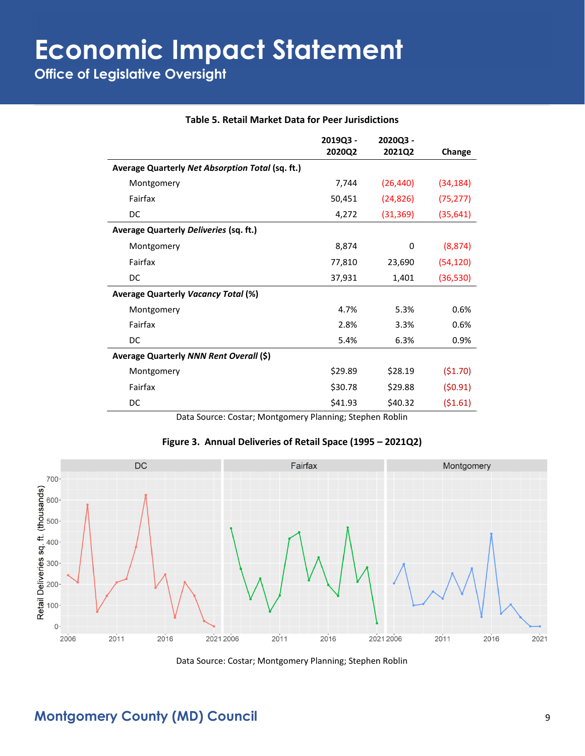|  |  |  |  |  | <b>Table 5. Retail Market Data for Peer Jurisdictions</b> |
|--|--|--|--|--|-----------------------------------------------------------|
|--|--|--|--|--|-----------------------------------------------------------|

|                                                  | 2019Q3 - | 2020Q3 -  |           |
|--------------------------------------------------|----------|-----------|-----------|
|                                                  | 2020Q2   | 2021Q2    | Change    |
| Average Quarterly Net Absorption Total (sq. ft.) |          |           |           |
| Montgomery                                       | 7,744    | (26, 440) | (34, 184) |
| Fairfax                                          | 50,451   | (24, 826) | (75, 277) |
| DC                                               | 4,272    | (31, 369) | (35, 641) |
| Average Quarterly Deliveries (sq. ft.)           |          |           |           |
| Montgomery                                       | 8,874    | 0         | (8, 874)  |
| Fairfax                                          | 77,810   | 23,690    | (54, 120) |
| DC                                               | 37,931   | 1,401     | (36, 530) |
| <b>Average Quarterly Vacancy Total (%)</b>       |          |           |           |
| Montgomery                                       | 4.7%     | 5.3%      | 0.6%      |
| Fairfax                                          | 2.8%     | 3.3%      | 0.6%      |
| DC                                               | 5.4%     | 6.3%      | 0.9%      |
| Average Quarterly NNN Rent Overall (\$)          |          |           |           |
| Montgomery                                       | \$29.89  | \$28.19   | (51.70)   |
| Fairfax                                          | \$30.78  | \$29.88   | (50.91)   |
| DC                                               | \$41.93  | \$40.32   | (51.61)   |

Data Source: Costar; Montgomery Planning; Stephen Roblin



Data Source: Costar; Montgomery Planning; Stephen Roblin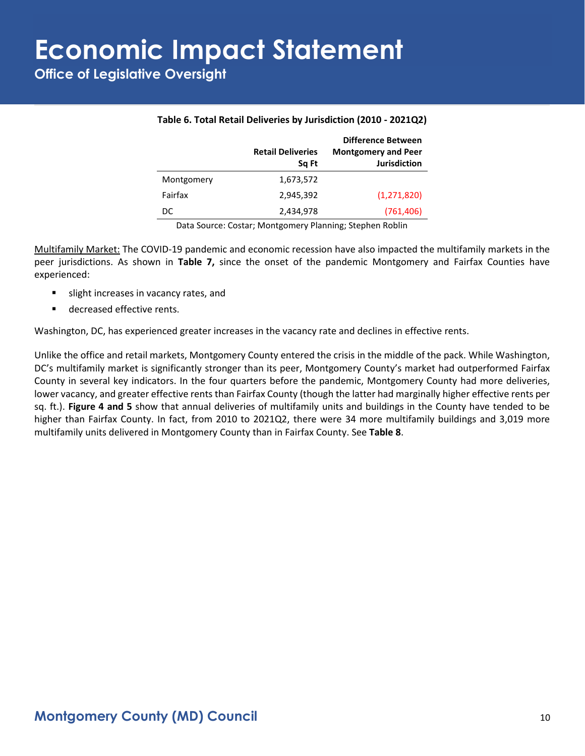**Office of Legislative Oversight**

|            | <b>Retail Deliveries</b><br>Sq Ft | <b>Difference Between</b><br><b>Montgomery and Peer</b><br><b>Jurisdiction</b> |
|------------|-----------------------------------|--------------------------------------------------------------------------------|
| Montgomery | 1,673,572                         |                                                                                |
| Fairfax    | 2,945,392                         | (1,271,820)                                                                    |
| DC         | 2,434,978                         | (761, 406)                                                                     |

#### **Table 6. Total Retail Deliveries by Jurisdiction (2010 - 2021Q2)**

Data Source: Costar; Montgomery Planning; Stephen Roblin

Multifamily Market: The COVID-19 pandemic and economic recession have also impacted the multifamily markets in the peer jurisdictions. As shown in **Table 7,** since the onset of the pandemic Montgomery and Fairfax Counties have experienced:

- slight increases in vacancy rates, and
- decreased effective rents.

Washington, DC, has experienced greater increases in the vacancy rate and declines in effective rents.

Unlike the office and retail markets, Montgomery County entered the crisis in the middle of the pack. While Washington, DC's multifamily market is significantly stronger than its peer, Montgomery County's market had outperformed Fairfax County in several key indicators. In the four quarters before the pandemic, Montgomery County had more deliveries, lower vacancy, and greater effective rents than Fairfax County (though the latter had marginally higher effective rents per sq. ft.). **Figure 4 and 5** show that annual deliveries of multifamily units and buildings in the County have tended to be higher than Fairfax County. In fact, from 2010 to 2021Q2, there were 34 more multifamily buildings and 3,019 more multifamily units delivered in Montgomery County than in Fairfax County. See **Table 8**.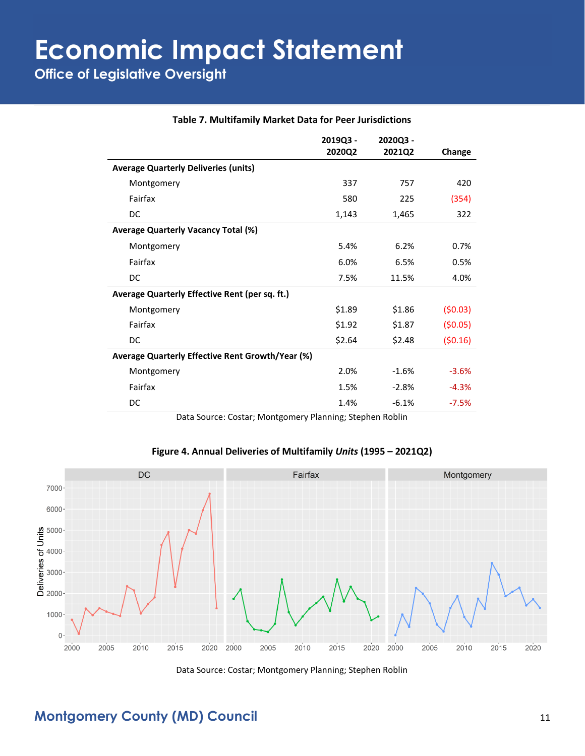|                                                  | 2019Q3 - | 2020Q3 - |         |
|--------------------------------------------------|----------|----------|---------|
|                                                  | 2020Q2   | 2021Q2   | Change  |
| <b>Average Quarterly Deliveries (units)</b>      |          |          |         |
| Montgomery                                       | 337      | 757      | 420     |
| Fairfax                                          | 580      | 225      | (354)   |
| DC                                               | 1,143    | 1,465    | 322     |
| <b>Average Quarterly Vacancy Total (%)</b>       |          |          |         |
| Montgomery                                       | 5.4%     | 6.2%     | 0.7%    |
| Fairfax                                          | 6.0%     | 6.5%     | 0.5%    |
| DC                                               | 7.5%     | 11.5%    | 4.0%    |
| Average Quarterly Effective Rent (per sq. ft.)   |          |          |         |
| Montgomery                                       | \$1.89   | \$1.86   | (50.03) |
| Fairfax                                          | \$1.92   | \$1.87   | (50.05) |
| DC                                               | \$2.64   | \$2.48   | (50.16) |
| Average Quarterly Effective Rent Growth/Year (%) |          |          |         |
| Montgomery                                       | 2.0%     | $-1.6%$  | $-3.6%$ |
| Fairfax                                          | 1.5%     | $-2.8%$  | $-4.3%$ |
| DC                                               | 1.4%     | $-6.1%$  | $-7.5%$ |

#### **Table 7. Multifamily Market Data for Peer Jurisdictions**

Data Source: Costar; Montgomery Planning; Stephen Roblin

#### **Figure 4. Annual Deliveries of Multifamily** *Units* **(1995 – 2021Q2)**



Data Source: Costar; Montgomery Planning; Stephen Roblin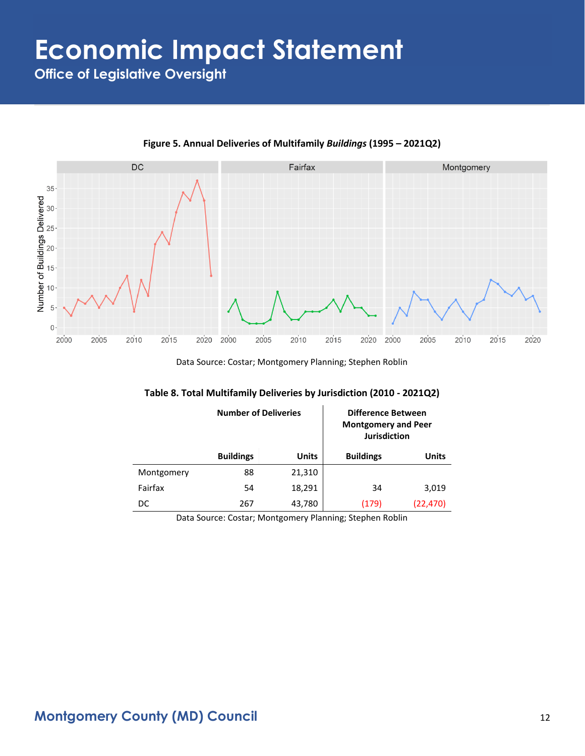**Office of Legislative Oversight**



**Figure 5. Annual Deliveries of Multifamily** *Buildings* **(1995 – 2021Q2)**

Data Source: Costar; Montgomery Planning; Stephen Roblin

| Table 8. Total Multifamily Deliveries by Jurisdiction (2010 - 2021Q2) |  |  |  |  |  |
|-----------------------------------------------------------------------|--|--|--|--|--|
|-----------------------------------------------------------------------|--|--|--|--|--|

|            | <b>Number of Deliveries</b> |              | Difference Between<br><b>Montgomery and Peer</b><br><b>Jurisdiction</b> |           |
|------------|-----------------------------|--------------|-------------------------------------------------------------------------|-----------|
|            | <b>Buildings</b>            | <b>Units</b> | <b>Buildings</b>                                                        | Units     |
| Montgomery | 88                          | 21,310       |                                                                         |           |
| Fairfax    | 54                          | 18,291       | 34                                                                      | 3,019     |
| DC         | 267                         | 43,780       | (179)                                                                   | (22, 470) |

Data Source: Costar; Montgomery Planning; Stephen Roblin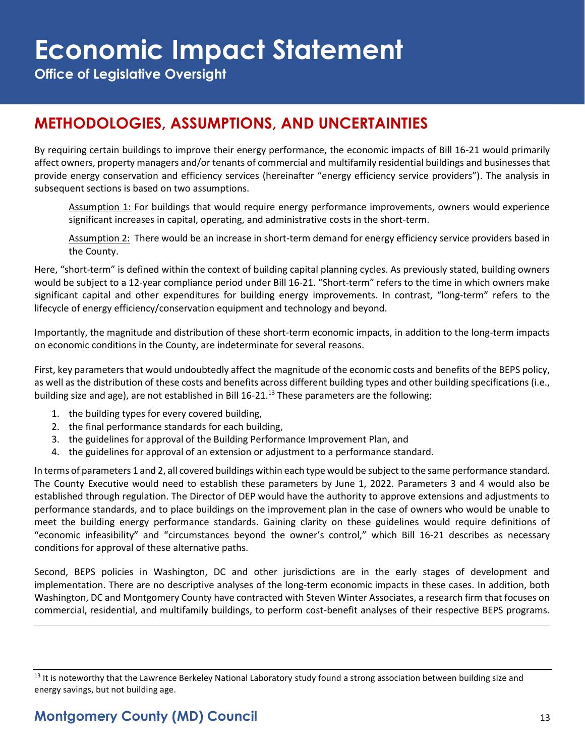**Office of Legislative Oversight**

## **METHODOLOGIES, ASSUMPTIONS, AND UNCERTAINTIES**

By requiring certain buildings to improve their energy performance, the economic impacts of Bill 16-21 would primarily affect owners, property managers and/or tenants of commercial and multifamily residential buildings and businesses that provide energy conservation and efficiency services (hereinafter "energy efficiency service providers"). The analysis in subsequent sections is based on two assumptions.

Assumption 1: For buildings that would require energy performance improvements, owners would experience significant increases in capital, operating, and administrative costs in the short-term.

Assumption 2: There would be an increase in short-term demand for energy efficiency service providers based in the County.

Here, "short-term" is defined within the context of building capital planning cycles. As previously stated, building owners would be subject to a 12-year compliance period under Bill 16-21. "Short-term" refers to the time in which owners make significant capital and other expenditures for building energy improvements. In contrast, "long-term" refers to the lifecycle of energy efficiency/conservation equipment and technology and beyond.

Importantly, the magnitude and distribution of these short-term economic impacts, in addition to the long-term impacts on economic conditions in the County, are indeterminate for several reasons.

First, key parameters that would undoubtedly affect the magnitude of the economic costs and benefits of the BEPS policy, as well as the distribution of these costs and benefits across different building types and other building specifications (i.e., building size and age), are not established in Bill 16-21.<sup>13</sup> These parameters are the following:

- 1. the building types for every covered building,
- 2. the final performance standards for each building,
- 3. the guidelines for approval of the Building Performance Improvement Plan, and
- 4. the guidelines for approval of an extension or adjustment to a performance standard.

In terms of parameters 1 and 2, all covered buildings within each type would be subject to the same performance standard. The County Executive would need to establish these parameters by June 1, 2022. Parameters 3 and 4 would also be established through regulation. The Director of DEP would have the authority to approve extensions and adjustments to performance standards, and to place buildings on the improvement plan in the case of owners who would be unable to meet the building energy performance standards. Gaining clarity on these guidelines would require definitions of "economic infeasibility" and "circumstances beyond the owner's control," which Bill 16-21 describes as necessary conditions for approval of these alternative paths.

Second, BEPS policies in Washington, DC and other jurisdictions are in the early stages of development and implementation. There are no descriptive analyses of the long-term economic impacts in these cases. In addition, both Washington, DC and Montgomery County have contracted with Steven Winter Associates, a research firm that focuses on commercial, residential, and multifamily buildings, to perform cost-benefit analyses of their respective BEPS programs.

<sup>&</sup>lt;sup>13</sup> It is noteworthy that the Lawrence Berkeley National Laboratory study found a strong association between building size and energy savings, but not building age.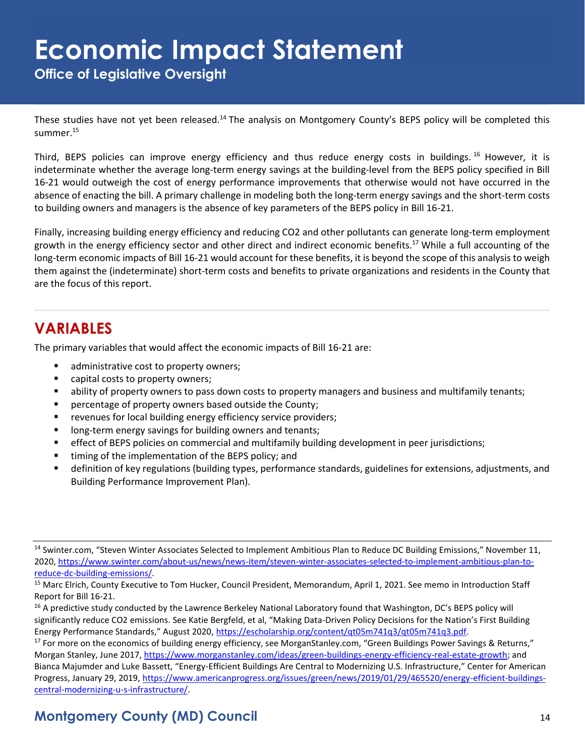**Office of Legislative Oversight**

These studies have not yet been released.<sup>14</sup> The analysis on Montgomery County's BEPS policy will be completed this summer.<sup>15</sup>

Third, BEPS policies can improve energy efficiency and thus reduce energy costs in buildings.<sup>16</sup> However, it is indeterminate whether the average long-term energy savings at the building-level from the BEPS policy specified in Bill 16-21 would outweigh the cost of energy performance improvements that otherwise would not have occurred in the absence of enacting the bill. A primary challenge in modeling both the long-term energy savings and the short-term costs to building owners and managers is the absence of key parameters of the BEPS policy in Bill 16-21.

Finally, increasing building energy efficiency and reducing CO2 and other pollutants can generate long-term employment growth in the energy efficiency sector and other direct and indirect economic benefits.<sup>17</sup> While a full accounting of the long-term economic impacts of Bill 16-21 would account for these benefits, it is beyond the scope of this analysis to weigh them against the (indeterminate) short-term costs and benefits to private organizations and residents in the County that are the focus of this report.

## **VARIABLES**

The primary variables that would affect the economic impacts of Bill 16-21 are:

- administrative cost to property owners;
- capital costs to property owners;
- ability of property owners to pass down costs to property managers and business and multifamily tenants;
- percentage of property owners based outside the County;
- revenues for local building energy efficiency service providers;
- long-term energy savings for building owners and tenants;
- **effect of BEPS policies on commercial and multifamily building development in peer jurisdictions;**
- timing of the implementation of the BEPS policy; and
- definition of key regulations (building types, performance standards, guidelines for extensions, adjustments, and Building Performance Improvement Plan).

<sup>&</sup>lt;sup>14</sup> Swinter.com, "Steven Winter Associates Selected to Implement Ambitious Plan to Reduce DC Building Emissions," November 11, 2020, [https://www.swinter.com/about-us/news/news-item/steven-winter-associates-selected-to-implement-ambitious-plan-to](https://www.swinter.com/about-us/news/news-item/steven-winter-associates-selected-to-implement-ambitious-plan-to-reduce-dc-building-emissions/)[reduce-dc-building-emissions/.](https://www.swinter.com/about-us/news/news-item/steven-winter-associates-selected-to-implement-ambitious-plan-to-reduce-dc-building-emissions/)

<sup>15</sup> Marc Elrich, County Executive to Tom Hucker, Council President, Memorandum, April 1, 2021. See memo in Introduction Staff Report for Bill 16-21.

<sup>&</sup>lt;sup>16</sup> A predictive study conducted by the Lawrence Berkeley National Laboratory found that Washington, DC's BEPS policy will significantly reduce CO2 emissions. See Katie Bergfeld, et al, "Making Data-Driven Policy Decisions for the Nation's First Building Energy Performance Standards," August 2020, [https://escholarship.org/content/qt05m741q3/qt05m741q3.pdf.](https://escholarship.org/content/qt05m741q3/qt05m741q3.pdf)

<sup>&</sup>lt;sup>17</sup> For more on the economics of building energy efficiency, see MorganStanley.com, "Green Buildings Power Savings & Returns," Morgan Stanley, June 2017, [https://www.morganstanley.com/ideas/green-buildings-energy-efficiency-real-estate-growth;](https://www.morganstanley.com/ideas/green-buildings-energy-efficiency-real-estate-growth) and Bianca Majumder and Luke Bassett, "Energy-Efficient Buildings Are Central to Modernizing U.S. Infrastructure," Center for American Progress, January 29, 2019, [https://www.americanprogress.org/issues/green/news/2019/01/29/465520/energy-efficient-buildings](https://www.americanprogress.org/issues/green/news/2019/01/29/465520/energy-efficient-buildings-central-modernizing-u-s-infrastructure/)[central-modernizing-u-s-infrastructure/.](https://www.americanprogress.org/issues/green/news/2019/01/29/465520/energy-efficient-buildings-central-modernizing-u-s-infrastructure/)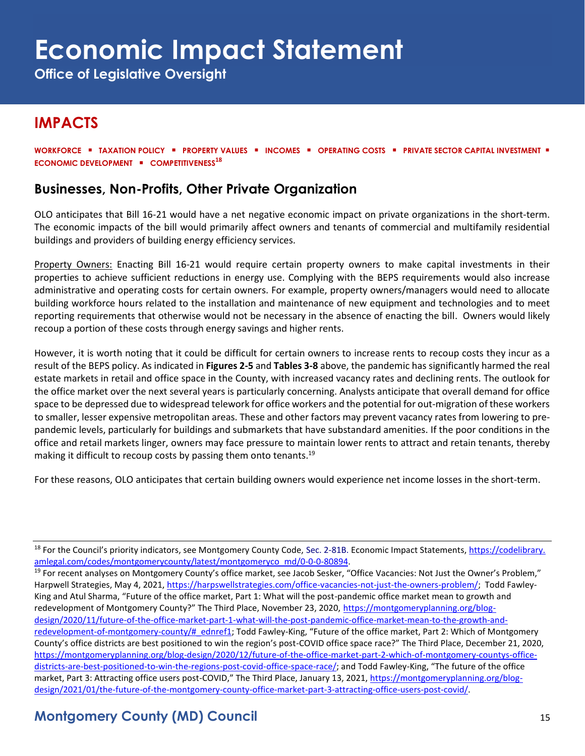**Office of Legislative Oversight**

## **IMPACTS**

**WORKFORCE** ▪ **TAXATION POLICY** ▪ **PROPERTY VALUES** ▪ **INCOMES** ▪ **OPERATING COSTS** ▪ **PRIVATE SECTOR CAPITAL INVESTMENT** ▪ **ECONOMIC DEVELOPMENT** ▪ **COMPETITIVENESS 18**

#### **Businesses, Non-Profits, Other Private Organization**

OLO anticipates that Bill 16-21 would have a net negative economic impact on private organizations in the short-term. The economic impacts of the bill would primarily affect owners and tenants of commercial and multifamily residential buildings and providers of building energy efficiency services.

Property Owners: Enacting Bill 16-21 would require certain property owners to make capital investments in their properties to achieve sufficient reductions in energy use. Complying with the BEPS requirements would also increase administrative and operating costs for certain owners. For example, property owners/managers would need to allocate building workforce hours related to the installation and maintenance of new equipment and technologies and to meet reporting requirements that otherwise would not be necessary in the absence of enacting the bill. Owners would likely recoup a portion of these costs through energy savings and higher rents.

However, it is worth noting that it could be difficult for certain owners to increase rents to recoup costs they incur as a result of the BEPS policy. As indicated in **Figures 2-5** and **Tables 3-8** above, the pandemic has significantly harmed the real estate markets in retail and office space in the County, with increased vacancy rates and declining rents. The outlook for the office market over the next several years is particularly concerning. Analysts anticipate that overall demand for office space to be depressed due to widespread telework for office workers and the potential for out-migration of these workers to smaller, lesser expensive metropolitan areas. These and other factors may prevent vacancy rates from lowering to prepandemic levels, particularly for buildings and submarkets that have substandard amenities. If the poor conditions in the office and retail markets linger, owners may face pressure to maintain lower rents to attract and retain tenants, thereby making it difficult to recoup costs by passing them onto tenants.<sup>19</sup>

For these reasons, OLO anticipates that certain building owners would experience net income losses in the short-term.

<sup>18</sup> For the Council's priority indicators, see Montgomery County Code, Sec. 2-81B. Economic Impact Statements, [https://codelibrary.](https://codelibrary.amlegal.com/codes/montgomerycounty/latest/montgomeryco_md/0-0-0-80894) [amlegal.com/codes/montgomerycounty/latest/montgomeryco\\_md/0-0-0-80894.](https://codelibrary.amlegal.com/codes/montgomerycounty/latest/montgomeryco_md/0-0-0-80894)

<sup>&</sup>lt;sup>19</sup> For recent analyses on Montgomery County's office market, see Jacob Sesker, "Office Vacancies: Not Just the Owner's Problem," Harpwell Strategies, May 4, 2021, [https://harpswellstrategies.com/office-vacancies-not-just-the-owners-problem/;](https://harpswellstrategies.com/office-vacancies-not-just-the-owners-problem/) Todd Fawley-King and Atul Sharma, "Future of the office market, Part 1: What will the post-pandemic office market mean to growth and redevelopment of Montgomery County?" The Third Place, November 23, 2020, [https://montgomeryplanning.org/blog](https://montgomeryplanning.org/blog-design/2020/11/future-of-the-office-market-part-1-what-will-the-post-pandemic-office-market-mean-to-the-growth-and-redevelopment-of-montgomery-county/#_ednref1)[design/2020/11/future-of-the-office-market-part-1-what-will-the-post-pandemic-office-market-mean-to-the-growth-and](https://montgomeryplanning.org/blog-design/2020/11/future-of-the-office-market-part-1-what-will-the-post-pandemic-office-market-mean-to-the-growth-and-redevelopment-of-montgomery-county/#_ednref1)[redevelopment-of-montgomery-county/#\\_ednref1;](https://montgomeryplanning.org/blog-design/2020/11/future-of-the-office-market-part-1-what-will-the-post-pandemic-office-market-mean-to-the-growth-and-redevelopment-of-montgomery-county/#_ednref1) Todd Fawley-King, "Future of the office market, Part 2: Which of Montgomery County's office districts are best positioned to win the region's post-COVID office space race?" The Third Place, December 21, 2020, [https://montgomeryplanning.org/blog-design/2020/12/future-of-the-office-market-part-2-which-of-montgomery-countys-office](https://montgomeryplanning.org/blog-design/2020/12/future-of-the-office-market-part-2-which-of-montgomery-countys-office-districts-are-best-positioned-to-win-the-regions-post-covid-office-space-race/)[districts-are-best-positioned-to-win-the-regions-post-covid-office-space-race/;](https://montgomeryplanning.org/blog-design/2020/12/future-of-the-office-market-part-2-which-of-montgomery-countys-office-districts-are-best-positioned-to-win-the-regions-post-covid-office-space-race/) and Todd Fawley-King, "The future of the office market, Part 3: Attracting office users post-COVID," The Third Place, January 13, 2021, [https://montgomeryplanning.org/blog](https://montgomeryplanning.org/blog-design/2021/01/the-future-of-the-montgomery-county-office-market-part-3-attracting-office-users-post-covid/)[design/2021/01/the-future-of-the-montgomery-county-office-market-part-3-attracting-office-users-post-covid/.](https://montgomeryplanning.org/blog-design/2021/01/the-future-of-the-montgomery-county-office-market-part-3-attracting-office-users-post-covid/)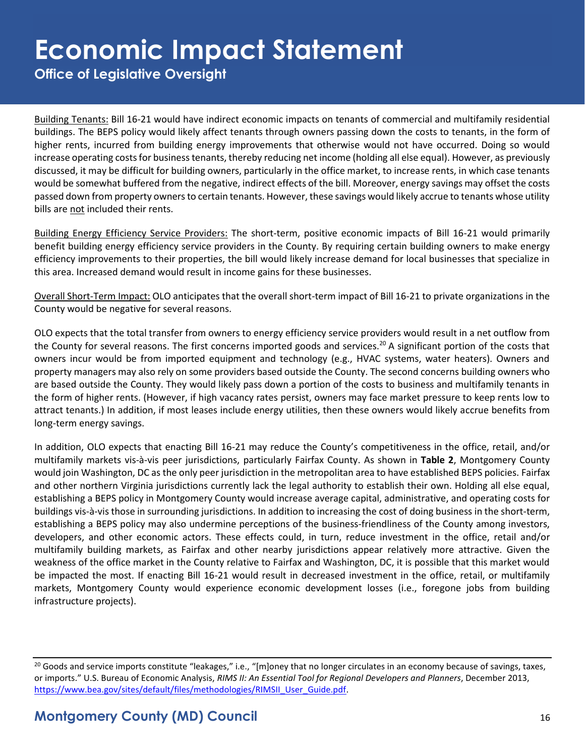**Office of Legislative Oversight**

Building Tenants: Bill 16-21 would have indirect economic impacts on tenants of commercial and multifamily residential buildings. The BEPS policy would likely affect tenants through owners passing down the costs to tenants, in the form of higher rents, incurred from building energy improvements that otherwise would not have occurred. Doing so would increase operating costs for business tenants, thereby reducing net income (holding all else equal). However, as previously discussed, it may be difficult for building owners, particularly in the office market, to increase rents, in which case tenants would be somewhat buffered from the negative, indirect effects of the bill. Moreover, energy savings may offset the costs passed down from property owners to certain tenants. However, these savings would likely accrue to tenants whose utility bills are not included their rents.

Building Energy Efficiency Service Providers: The short-term, positive economic impacts of Bill 16-21 would primarily benefit building energy efficiency service providers in the County. By requiring certain building owners to make energy efficiency improvements to their properties, the bill would likely increase demand for local businesses that specialize in this area. Increased demand would result in income gains for these businesses.

Overall Short-Term Impact: OLO anticipates that the overall short-term impact of Bill 16-21 to private organizations in the County would be negative for several reasons.

OLO expects that the total transfer from owners to energy efficiency service providers would result in a net outflow from the County for several reasons. The first concerns imported goods and services.<sup>20</sup> A significant portion of the costs that owners incur would be from imported equipment and technology (e.g., HVAC systems, water heaters). Owners and property managers may also rely on some providers based outside the County. The second concerns building owners who are based outside the County. They would likely pass down a portion of the costs to business and multifamily tenants in the form of higher rents. (However, if high vacancy rates persist, owners may face market pressure to keep rents low to attract tenants.) In addition, if most leases include energy utilities, then these owners would likely accrue benefits from long-term energy savings.

In addition, OLO expects that enacting Bill 16-21 may reduce the County's competitiveness in the office, retail, and/or multifamily markets vis-à-vis peer jurisdictions, particularly Fairfax County. As shown in **Table 2**, Montgomery County would join Washington, DC as the only peer jurisdiction in the metropolitan area to have established BEPS policies. Fairfax and other northern Virginia jurisdictions currently lack the legal authority to establish their own. Holding all else equal, establishing a BEPS policy in Montgomery County would increase average capital, administrative, and operating costs for buildings vis-à-vis those in surrounding jurisdictions. In addition to increasing the cost of doing business in the short-term, establishing a BEPS policy may also undermine perceptions of the business-friendliness of the County among investors, developers, and other economic actors. These effects could, in turn, reduce investment in the office, retail and/or multifamily building markets, as Fairfax and other nearby jurisdictions appear relatively more attractive. Given the weakness of the office market in the County relative to Fairfax and Washington, DC, it is possible that this market would be impacted the most. If enacting Bill 16-21 would result in decreased investment in the office, retail, or multifamily markets, Montgomery County would experience economic development losses (i.e., foregone jobs from building infrastructure projects).

 $20$  Goods and service imports constitute "leakages," i.e., "[m]oney that no longer circulates in an economy because of savings, taxes, or imports." U.S. Bureau of Economic Analysis, *RIMS II: An Essential Tool for Regional Developers and Planners*, December 2013, [https://www.bea.gov/sites/default/files/methodologies/RIMSII\\_User\\_Guide.pdf.](https://www.bea.gov/sites/default/files/methodologies/RIMSII_User_Guide.pdf)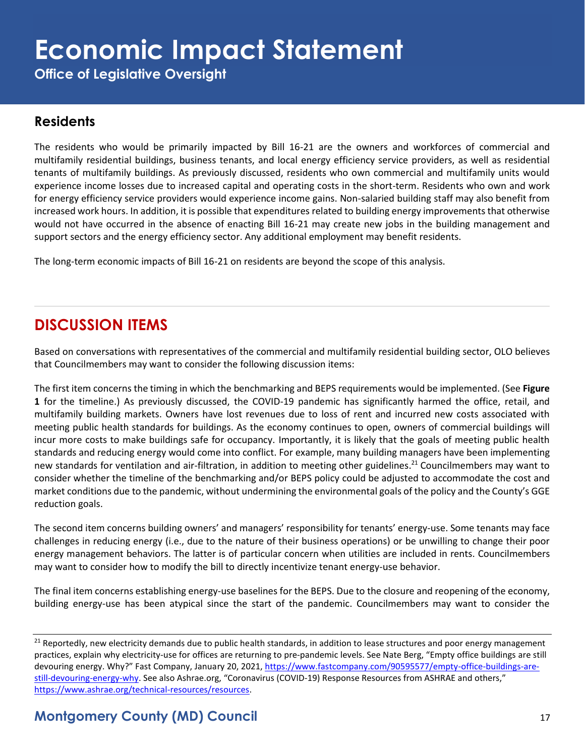**Office of Legislative Oversight**

#### **Residents**

The residents who would be primarily impacted by Bill 16-21 are the owners and workforces of commercial and multifamily residential buildings, business tenants, and local energy efficiency service providers, as well as residential tenants of multifamily buildings. As previously discussed, residents who own commercial and multifamily units would experience income losses due to increased capital and operating costs in the short-term. Residents who own and work for energy efficiency service providers would experience income gains. Non-salaried building staff may also benefit from increased work hours. In addition, it is possible that expenditures related to building energy improvements that otherwise would not have occurred in the absence of enacting Bill 16-21 may create new jobs in the building management and support sectors and the energy efficiency sector. Any additional employment may benefit residents.

The long-term economic impacts of Bill 16-21 on residents are beyond the scope of this analysis.

## **DISCUSSION ITEMS**

Based on conversations with representatives of the commercial and multifamily residential building sector, OLO believes that Councilmembers may want to consider the following discussion items:

The first item concerns the timing in which the benchmarking and BEPS requirements would be implemented. (See **Figure 1** for the timeline.) As previously discussed, the COVID-19 pandemic has significantly harmed the office, retail, and multifamily building markets. Owners have lost revenues due to loss of rent and incurred new costs associated with meeting public health standards for buildings. As the economy continues to open, owners of commercial buildings will incur more costs to make buildings safe for occupancy. Importantly, it is likely that the goals of meeting public health standards and reducing energy would come into conflict. For example, many building managers have been implementing new standards for ventilation and air-filtration, in addition to meeting other guidelines.<sup>21</sup> Councilmembers may want to consider whether the timeline of the benchmarking and/or BEPS policy could be adjusted to accommodate the cost and market conditions due to the pandemic, without undermining the environmental goals of the policy and the County's GGE reduction goals.

The second item concerns building owners' and managers' responsibility for tenants' energy-use. Some tenants may face challenges in reducing energy (i.e., due to the nature of their business operations) or be unwilling to change their poor energy management behaviors. The latter is of particular concern when utilities are included in rents. Councilmembers may want to consider how to modify the bill to directly incentivize tenant energy-use behavior.

The final item concerns establishing energy-use baselines for the BEPS. Due to the closure and reopening of the economy, building energy-use has been atypical since the start of the pandemic. Councilmembers may want to consider the

<sup>&</sup>lt;sup>21</sup> Reportedly, new electricity demands due to public health standards, in addition to lease structures and poor energy management practices, explain why electricity-use for offices are returning to pre-pandemic levels. See Nate Berg, "Empty office buildings are still devouring energy. Why?" Fast Company, January 20, 2021[, https://www.fastcompany.com/90595577/empty-office-buildings-are](https://www.fastcompany.com/90595577/empty-office-buildings-are-still-devouring-energy-why)[still-devouring-energy-why.](https://www.fastcompany.com/90595577/empty-office-buildings-are-still-devouring-energy-why) See also Ashrae.org, "Coronavirus (COVID-19) Response Resources from ASHRAE and others," [https://www.ashrae.org/technical-resources/resources.](https://www.ashrae.org/technical-resources/resources)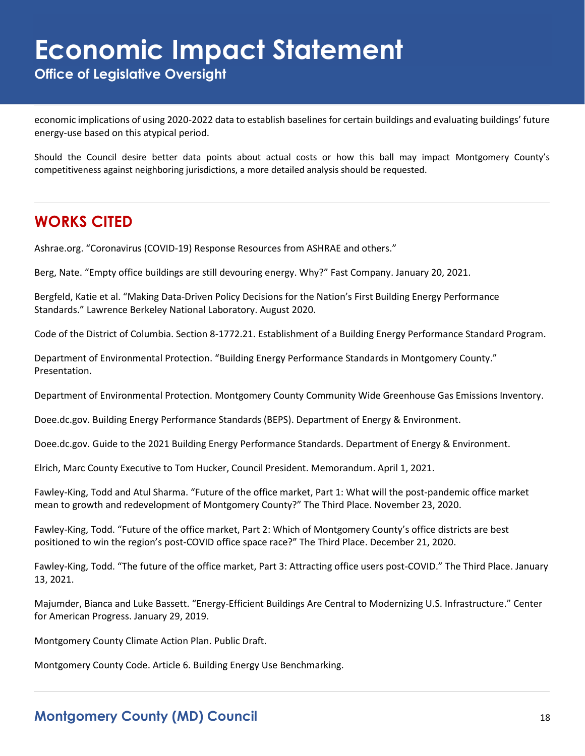**Office of Legislative Oversight**

economic implications of using 2020-2022 data to establish baselines for certain buildings and evaluating buildings' future energy-use based on this atypical period.

Should the Council desire better data points about actual costs or how this ball may impact Montgomery County's competitiveness against neighboring jurisdictions, a more detailed analysis should be requested.

## **WORKS CITED**

Ashrae.org. "Coronavirus (COVID-19) Response Resources from ASHRAE and others."

Berg, Nate. "Empty office buildings are still devouring energy. Why?" Fast Company. January 20, 2021.

Bergfeld, Katie et al. "Making Data-Driven Policy Decisions for the Nation's First Building Energy Performance Standards." Lawrence Berkeley National Laboratory. August 2020.

Code of the District of Columbia. Section 8-1772.21. Establishment of a Building Energy Performance Standard Program.

Department of Environmental Protection. "Building Energy Performance Standards in Montgomery County." Presentation.

Department of Environmental Protection. Montgomery County Community Wide Greenhouse Gas Emissions Inventory.

Doee.dc.gov. Building Energy Performance Standards (BEPS). Department of Energy & Environment.

Doee.dc.gov. Guide to the 2021 Building Energy Performance Standards. Department of Energy & Environment.

Elrich, Marc County Executive to Tom Hucker, Council President. Memorandum. April 1, 2021.

Fawley-King, Todd and Atul Sharma. "Future of the office market, Part 1: What will the post-pandemic office market mean to growth and redevelopment of Montgomery County?" The Third Place. November 23, 2020.

Fawley-King, Todd. "Future of the office market, Part 2: Which of Montgomery County's office districts are best positioned to win the region's post-COVID office space race?" The Third Place. December 21, 2020.

Fawley-King, Todd. "The future of the office market, Part 3: Attracting office users post-COVID." The Third Place. January 13, 2021.

Majumder, Bianca and Luke Bassett. "Energy-Efficient Buildings Are Central to Modernizing U.S. Infrastructure." Center for American Progress. January 29, 2019.

Montgomery County Climate Action Plan. Public Draft.

Montgomery County Code. Article 6. Building Energy Use Benchmarking.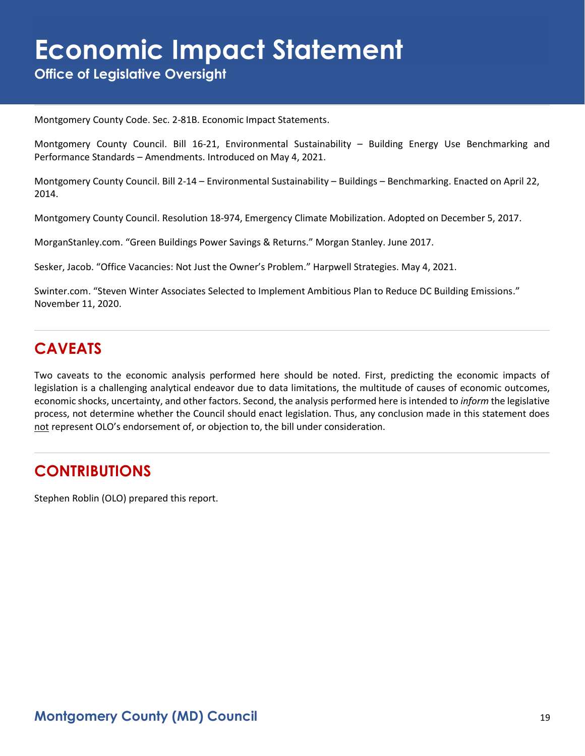**Office of Legislative Oversight**

Montgomery County Code. Sec. 2-81B. Economic Impact Statements.

Montgomery County Council. Bill 16-21, Environmental Sustainability – Building Energy Use Benchmarking and Performance Standards – Amendments. Introduced on May 4, 2021.

Montgomery County Council. Bill 2-14 – Environmental Sustainability – Buildings – Benchmarking. Enacted on April 22, 2014.

Montgomery County Council. Resolution 18-974, Emergency Climate Mobilization. Adopted on December 5, 2017.

MorganStanley.com. "Green Buildings Power Savings & Returns." Morgan Stanley. June 2017.

Sesker, Jacob. "Office Vacancies: Not Just the Owner's Problem." Harpwell Strategies. May 4, 2021.

Swinter.com. "Steven Winter Associates Selected to Implement Ambitious Plan to Reduce DC Building Emissions." November 11, 2020.

## **CAVEATS**

Two caveats to the economic analysis performed here should be noted. First, predicting the economic impacts of legislation is a challenging analytical endeavor due to data limitations, the multitude of causes of economic outcomes, economic shocks, uncertainty, and other factors. Second, the analysis performed here is intended to *inform* the legislative process, not determine whether the Council should enact legislation. Thus, any conclusion made in this statement does not represent OLO's endorsement of, or objection to, the bill under consideration.

### **CONTRIBUTIONS**

Stephen Roblin (OLO) prepared this report.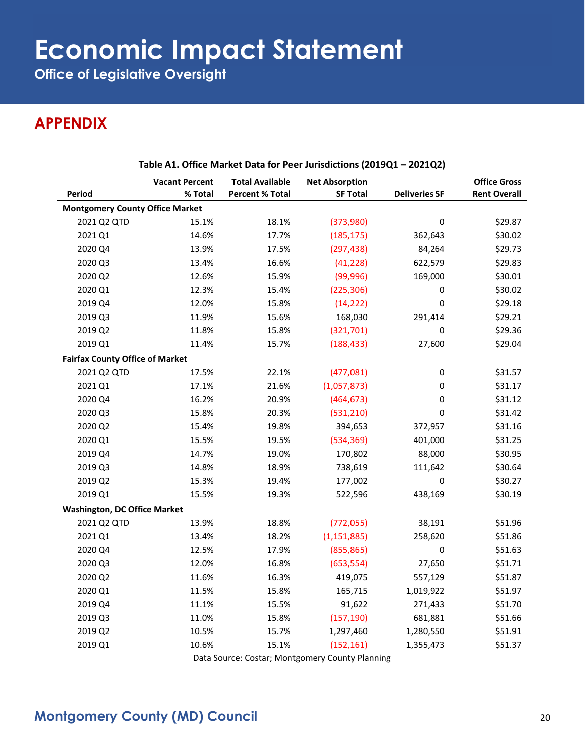**Office of Legislative Oversight**

## **APPENDIX**

|                                        | <b>Vacant Percent</b> | <b>Total Available</b> | <b>Net Absorption</b> |                      | <b>Office Gross</b> |
|----------------------------------------|-----------------------|------------------------|-----------------------|----------------------|---------------------|
| Period                                 | % Total               | <b>Percent % Total</b> | <b>SF Total</b>       | <b>Deliveries SF</b> | <b>Rent Overall</b> |
| <b>Montgomery County Office Market</b> |                       |                        |                       |                      |                     |
| 2021 Q2 QTD                            | 15.1%                 | 18.1%                  | (373,980)             | $\pmb{0}$            | \$29.87             |
| 2021 Q1                                | 14.6%                 | 17.7%                  | (185, 175)            | 362,643              | \$30.02             |
| 2020 Q4                                | 13.9%                 | 17.5%                  | (297, 438)            | 84,264               | \$29.73             |
| 2020 Q3                                | 13.4%                 | 16.6%                  | (41, 228)             | 622,579              | \$29.83             |
| 2020 Q2                                | 12.6%                 | 15.9%                  | (99, 996)             | 169,000              | \$30.01             |
| 2020 Q1                                | 12.3%                 | 15.4%                  | (225, 306)            | 0                    | \$30.02             |
| 2019 Q4                                | 12.0%                 | 15.8%                  | (14, 222)             | $\pmb{0}$            | \$29.18             |
| 2019 Q3                                | 11.9%                 | 15.6%                  | 168,030               | 291,414              | \$29.21             |
| 2019 Q2                                | 11.8%                 | 15.8%                  | (321, 701)            | 0                    | \$29.36             |
| 2019 Q1                                | 11.4%                 | 15.7%                  | (188, 433)            | 27,600               | \$29.04             |
| <b>Fairfax County Office of Market</b> |                       |                        |                       |                      |                     |
| 2021 Q2 QTD                            | 17.5%                 | 22.1%                  | (477,081)             | 0                    | \$31.57             |
| 2021 Q1                                | 17.1%                 | 21.6%                  | (1,057,873)           | 0                    | \$31.17             |
| 2020 Q4                                | 16.2%                 | 20.9%                  | (464, 673)            | 0                    | \$31.12             |
| 2020 Q3                                | 15.8%                 | 20.3%                  | (531, 210)            | 0                    | \$31.42             |
| 2020 Q2                                | 15.4%                 | 19.8%                  | 394,653               | 372,957              | \$31.16             |
| 2020 Q1                                | 15.5%                 | 19.5%                  | (534, 369)            | 401,000              | \$31.25             |
| 2019 Q4                                | 14.7%                 | 19.0%                  | 170,802               | 88,000               | \$30.95             |
| 2019 Q3                                | 14.8%                 | 18.9%                  | 738,619               | 111,642              | \$30.64             |
| 2019 Q2                                | 15.3%                 | 19.4%                  | 177,002               | 0                    | \$30.27             |
| 2019 Q1                                | 15.5%                 | 19.3%                  | 522,596               | 438,169              | \$30.19             |
| <b>Washington, DC Office Market</b>    |                       |                        |                       |                      |                     |
| 2021 Q2 QTD                            | 13.9%                 | 18.8%                  | (772, 055)            | 38,191               | \$51.96             |
| 2021 Q1                                | 13.4%                 | 18.2%                  | (1, 151, 885)         | 258,620              | \$51.86             |
| 2020 Q4                                | 12.5%                 | 17.9%                  | (855, 865)            | 0                    | \$51.63             |
| 2020 Q3                                | 12.0%                 | 16.8%                  | (653, 554)            | 27,650               | \$51.71             |
| 2020 Q2                                | 11.6%                 | 16.3%                  | 419,075               | 557,129              | \$51.87             |
| 2020 Q1                                | 11.5%                 | 15.8%                  | 165,715               | 1,019,922            | \$51.97             |
| 2019 Q4                                | 11.1%                 | 15.5%                  | 91,622                | 271,433              | \$51.70             |
| 2019 Q3                                | 11.0%                 | 15.8%                  | (157, 190)            | 681,881              | \$51.66             |
| 2019 Q2                                | 10.5%                 | 15.7%                  | 1,297,460             | 1,280,550            | \$51.91             |
| 2019 Q1                                | 10.6%                 | 15.1%                  | (152, 161)            | 1,355,473            | \$51.37             |

#### **Table A1. Office Market Data for Peer Jurisdictions (2019Q1 – 2021Q2)**

Data Source: Costar; Montgomery County Planning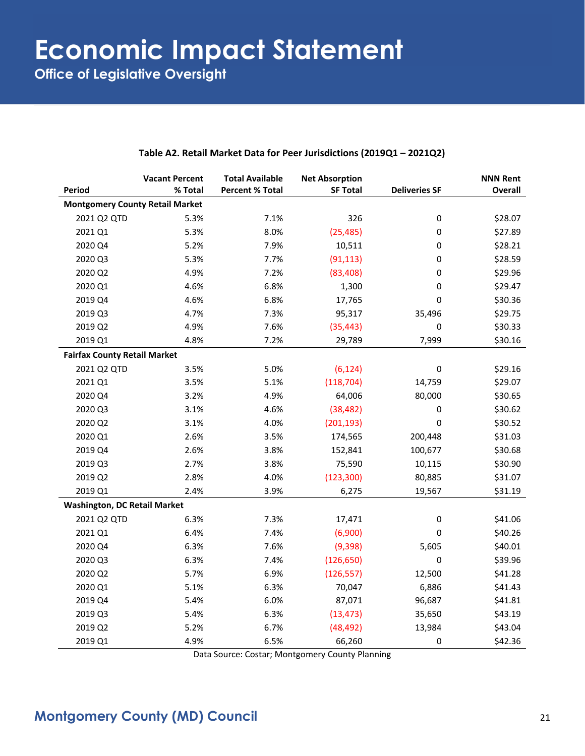**Office of Legislative Oversight**

|                                        | <b>Vacant Percent</b> | <b>Total Available</b> | <b>Net Absorption</b> |                      | <b>NNN Rent</b> |
|----------------------------------------|-----------------------|------------------------|-----------------------|----------------------|-----------------|
| Period                                 | % Total               | <b>Percent % Total</b> | <b>SF Total</b>       | <b>Deliveries SF</b> | <b>Overall</b>  |
| <b>Montgomery County Retail Market</b> |                       |                        |                       |                      |                 |
| 2021 Q2 QTD                            | 5.3%                  | 7.1%                   | 326                   | $\pmb{0}$            | \$28.07         |
| 2021 Q1                                | 5.3%                  | 8.0%                   | (25, 485)             | 0                    | \$27.89         |
| 2020 Q4                                | 5.2%                  | 7.9%                   | 10,511                | 0                    | \$28.21         |
| 2020 Q3                                | 5.3%                  | 7.7%                   | (91, 113)             | 0                    | \$28.59         |
| 2020 Q2                                | 4.9%                  | 7.2%                   | (83, 408)             | 0                    | \$29.96         |
| 2020 Q1                                | 4.6%                  | 6.8%                   | 1,300                 | 0                    | \$29.47         |
| 2019 Q4                                | 4.6%                  | 6.8%                   | 17,765                | 0                    | \$30.36         |
| 2019 Q3                                | 4.7%                  | 7.3%                   | 95,317                | 35,496               | \$29.75         |
| 2019 Q2                                | 4.9%                  | 7.6%                   | (35, 443)             | 0                    | \$30.33         |
| 2019 Q1                                | 4.8%                  | 7.2%                   | 29,789                | 7,999                | \$30.16         |
| <b>Fairfax County Retail Market</b>    |                       |                        |                       |                      |                 |
| 2021 Q2 QTD                            | 3.5%                  | 5.0%                   | (6, 124)              | $\pmb{0}$            | \$29.16         |
| 2021 Q1                                | 3.5%                  | 5.1%                   | (118, 704)            | 14,759               | \$29.07         |
| 2020 Q4                                | 3.2%                  | 4.9%                   | 64,006                | 80,000               | \$30.65         |
| 2020 Q3                                | 3.1%                  | 4.6%                   | (38, 482)             | 0                    | \$30.62         |
| 2020 Q2                                | 3.1%                  | 4.0%                   | (201, 193)            | 0                    | \$30.52         |
| 2020 Q1                                | 2.6%                  | 3.5%                   | 174,565               | 200,448              | \$31.03         |
| 2019 Q4                                | 2.6%                  | 3.8%                   | 152,841               | 100,677              | \$30.68         |
| 2019 Q3                                | 2.7%                  | 3.8%                   | 75,590                | 10,115               | \$30.90         |
| 2019 Q2                                | 2.8%                  | 4.0%                   | (123, 300)            | 80,885               | \$31.07         |
| 2019 Q1                                | 2.4%                  | 3.9%                   | 6,275                 | 19,567               | \$31.19         |
| <b>Washington, DC Retail Market</b>    |                       |                        |                       |                      |                 |
| 2021 Q2 QTD                            | 6.3%                  | 7.3%                   | 17,471                | $\pmb{0}$            | \$41.06         |
| 2021 Q1                                | 6.4%                  | 7.4%                   | (6,900)               | 0                    | \$40.26         |
| 2020 Q4                                | 6.3%                  | 7.6%                   | (9, 398)              | 5,605                | \$40.01         |
| 2020 Q3                                | 6.3%                  | 7.4%                   | (126, 650)            | 0                    | \$39.96         |
| 2020 Q2                                | 5.7%                  | 6.9%                   | (126, 557)            | 12,500               | \$41.28         |
| 2020 Q1                                | 5.1%                  | 6.3%                   | 70,047                | 6,886                | \$41.43         |
| 2019 Q4                                | 5.4%                  | 6.0%                   | 87,071                | 96,687               | \$41.81         |
| 2019 Q3                                | 5.4%                  | 6.3%                   | (13, 473)             | 35,650               | \$43.19         |
| 2019 Q2                                | 5.2%                  | 6.7%                   | (48, 492)             | 13,984               | \$43.04         |
| 2019 Q1                                | 4.9%                  | 6.5%                   | 66,260                | 0                    | \$42.36         |

#### **Table A2. Retail Market Data for Peer Jurisdictions (2019Q1 – 2021Q2)**

Data Source: Costar; Montgomery County Planning